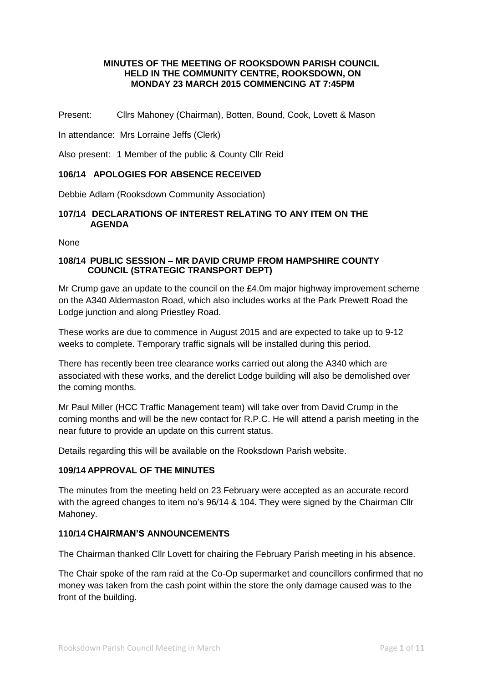### **MINUTES OF THE MEETING OF ROOKSDOWN PARISH COUNCIL HELD IN THE COMMUNITY CENTRE, ROOKSDOWN, ON MONDAY 23 MARCH 2015 COMMENCING AT 7:45PM**

Present: Cllrs Mahoney (Chairman), Botten, Bound, Cook, Lovett & Mason

In attendance: Mrs Lorraine Jeffs (Clerk)

Also present: 1 Member of the public & County Cllr Reid

### **106/14 APOLOGIES FOR ABSENCE RECEIVED**

Debbie Adlam (Rooksdown Community Association)

#### **107/14 DECLARATIONS OF INTEREST RELATING TO ANY ITEM ON THE AGENDA**

None

#### **108/14 PUBLIC SESSION – MR DAVID CRUMP FROM HAMPSHIRE COUNTY COUNCIL (STRATEGIC TRANSPORT DEPT)**

Mr Crump gave an update to the council on the £4.0m major highway improvement scheme on the A340 Aldermaston Road, which also includes works at the Park Prewett Road the Lodge junction and along Priestley Road.

These works are due to commence in August 2015 and are expected to take up to 9-12 weeks to complete. Temporary traffic signals will be installed during this period.

There has recently been tree clearance works carried out along the A340 which are associated with these works, and the derelict Lodge building will also be demolished over the coming months.

Mr Paul Miller (HCC Traffic Management team) will take over from David Crump in the coming months and will be the new contact for R.P.C. He will attend a parish meeting in the near future to provide an update on this current status.

Details regarding this will be available on the Rooksdown Parish website.

### **109/14 APPROVAL OF THE MINUTES**

The minutes from the meeting held on 23 February were accepted as an accurate record with the agreed changes to item no's 96/14 & 104. They were signed by the Chairman Cllr Mahoney.

### **110/14 CHAIRMAN'S ANNOUNCEMENTS**

The Chairman thanked Cllr Lovett for chairing the February Parish meeting in his absence.

The Chair spoke of the ram raid at the Co-Op supermarket and councillors confirmed that no money was taken from the cash point within the store the only damage caused was to the front of the building.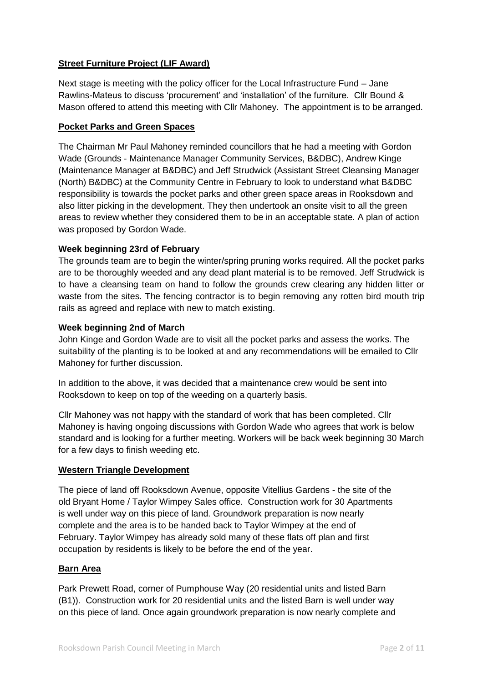## **Street Furniture Project (LIF Award)**

Next stage is meeting with the policy officer for the Local Infrastructure Fund – Jane Rawlins-Mateus to discuss 'procurement' and 'installation' of the furniture. Cllr Bound & Mason offered to attend this meeting with Cllr Mahoney. The appointment is to be arranged.

### **Pocket Parks and Green Spaces**

The Chairman Mr Paul Mahoney reminded councillors that he had a meeting with Gordon Wade (Grounds - Maintenance Manager Community Services, B&DBC), Andrew Kinge (Maintenance Manager at B&DBC) and Jeff Strudwick (Assistant Street Cleansing Manager (North) B&DBC) at the Community Centre in February to look to understand what B&DBC responsibility is towards the pocket parks and other green space areas in Rooksdown and also litter picking in the development. They then undertook an onsite visit to all the green areas to review whether they considered them to be in an acceptable state. A plan of action was proposed by Gordon Wade.

## **Week beginning 23rd of February**

The grounds team are to begin the winter/spring pruning works required. All the pocket parks are to be thoroughly weeded and any dead plant material is to be removed. Jeff Strudwick is to have a cleansing team on hand to follow the grounds crew clearing any hidden litter or waste from the sites. The fencing contractor is to begin removing any rotten bird mouth trip rails as agreed and replace with new to match existing.

### **Week beginning 2nd of March**

John Kinge and Gordon Wade are to visit all the pocket parks and assess the works. The suitability of the planting is to be looked at and any recommendations will be emailed to Cllr Mahoney for further discussion.

In addition to the above, it was decided that a maintenance crew would be sent into Rooksdown to keep on top of the weeding on a quarterly basis.

Cllr Mahoney was not happy with the standard of work that has been completed. Cllr Mahoney is having ongoing discussions with Gordon Wade who agrees that work is below standard and is looking for a further meeting. Workers will be back week beginning 30 March for a few days to finish weeding etc.

### **Western Triangle Development**

The piece of land off Rooksdown Avenue, opposite Vitellius Gardens - the site of the old Bryant Home / Taylor Wimpey Sales office. Construction work for 30 Apartments is well under way on this piece of land. Groundwork preparation is now nearly complete and the area is to be handed back to Taylor Wimpey at the end of February. Taylor Wimpey has already sold many of these flats off plan and first occupation by residents is likely to be before the end of the year.

### **Barn Area**

Park Prewett Road, corner of Pumphouse Way (20 residential units and listed Barn (B1)). Construction work for 20 residential units and the listed Barn is well under way on this piece of land. Once again groundwork preparation is now nearly complete and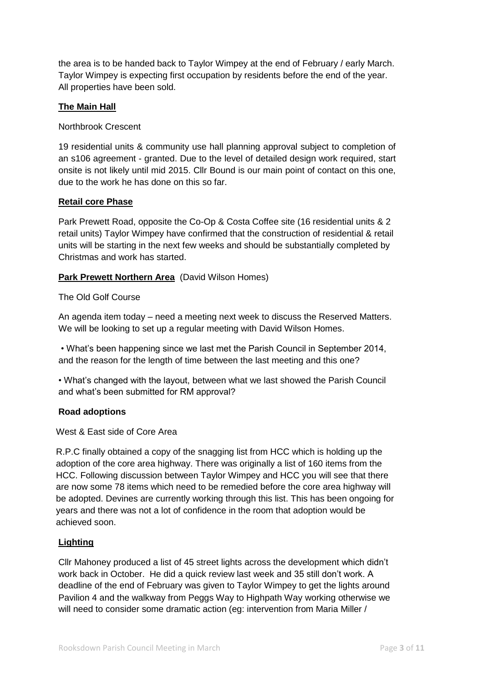the area is to be handed back to Taylor Wimpey at the end of February / early March. Taylor Wimpey is expecting first occupation by residents before the end of the year. All properties have been sold.

## **The Main Hall**

Northbrook Crescent

19 residential units & community use hall planning approval subject to completion of an s106 agreement - granted. Due to the level of detailed design work required, start onsite is not likely until mid 2015. Cllr Bound is our main point of contact on this one, due to the work he has done on this so far.

### **Retail core Phase**

Park Prewett Road, opposite the Co-Op & Costa Coffee site (16 residential units & 2 retail units) Taylor Wimpey have confirmed that the construction of residential & retail units will be starting in the next few weeks and should be substantially completed by Christmas and work has started.

#### **Park Prewett Northern Area** (David Wilson Homes)

The Old Golf Course

An agenda item today – need a meeting next week to discuss the Reserved Matters. We will be looking to set up a regular meeting with David Wilson Homes.

• What's been happening since we last met the Parish Council in September 2014, and the reason for the length of time between the last meeting and this one?

• What's changed with the layout, between what we last showed the Parish Council and what's been submitted for RM approval?

#### **Road adoptions**

West & East side of Core Area

R.P.C finally obtained a copy of the snagging list from HCC which is holding up the adoption of the core area highway. There was originally a list of 160 items from the HCC. Following discussion between Taylor Wimpey and HCC you will see that there are now some 78 items which need to be remedied before the core area highway will be adopted. Devines are currently working through this list. This has been ongoing for years and there was not a lot of confidence in the room that adoption would be achieved soon.

### **Lighting**

Cllr Mahoney produced a list of 45 street lights across the development which didn't work back in October. He did a quick review last week and 35 still don't work. A deadline of the end of February was given to Taylor Wimpey to get the lights around Pavilion 4 and the walkway from Peggs Way to Highpath Way working otherwise we will need to consider some dramatic action (eg: intervention from Maria Miller /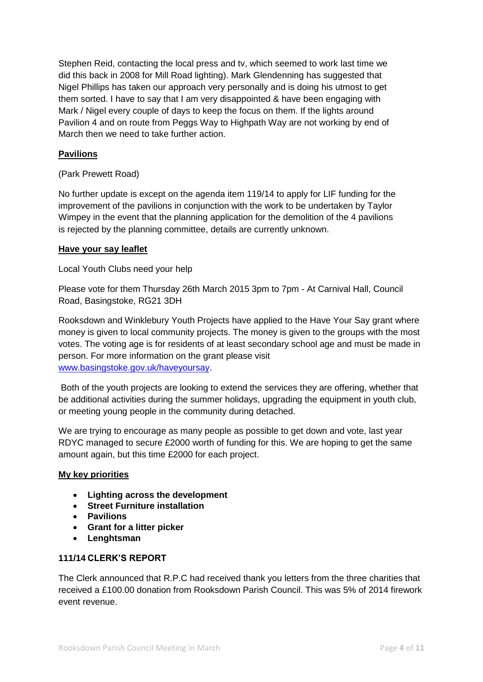Stephen Reid, contacting the local press and tv, which seemed to work last time we did this back in 2008 for Mill Road lighting). Mark Glendenning has suggested that Nigel Phillips has taken our approach very personally and is doing his utmost to get them sorted. I have to say that I am very disappointed & have been engaging with Mark / Nigel every couple of days to keep the focus on them. If the lights around Pavilion 4 and on route from Peggs Way to Highpath Way are not working by end of March then we need to take further action.

## **Pavilions**

(Park Prewett Road)

No further update is except on the agenda item 119/14 to apply for LIF funding for the improvement of the pavilions in conjunction with the work to be undertaken by Taylor Wimpey in the event that the planning application for the demolition of the 4 pavilions is rejected by the planning committee, details are currently unknown.

#### **Have your say leaflet**

Local Youth Clubs need your help

Please vote for them Thursday 26th March 2015 3pm to 7pm - At Carnival Hall, Council Road, Basingstoke, RG21 3DH

Rooksdown and Winklebury Youth Projects have applied to the Have Your Say grant where money is given to local community projects. The money is given to the groups with the most votes. The voting age is for residents of at least secondary school age and must be made in person. For more information on the grant please visit [www.basingstoke.gov.uk/haveyoursay.](http://www.basingstoke.gov.uk/haveyoursay)

Both of the youth projects are looking to extend the services they are offering, whether that be additional activities during the summer holidays, upgrading the equipment in youth club, or meeting young people in the community during detached.

We are trying to encourage as many people as possible to get down and vote, last year RDYC managed to secure £2000 worth of funding for this. We are hoping to get the same amount again, but this time £2000 for each project.

### **My key priorities**

- **Lighting across the development**
- **Street Furniture installation**
- **Pavilions**
- **Grant for a litter picker**
- **Lenghtsman**

### **111/14 CLERK'S REPORT**

The Clerk announced that R.P.C had received thank you letters from the three charities that received a £100.00 donation from Rooksdown Parish Council. This was 5% of 2014 firework event revenue.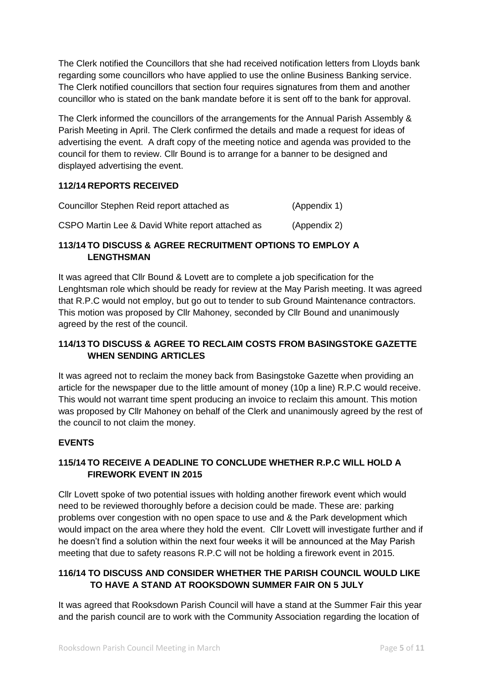The Clerk notified the Councillors that she had received notification letters from Lloyds bank regarding some councillors who have applied to use the online Business Banking service. The Clerk notified councillors that section four requires signatures from them and another councillor who is stated on the bank mandate before it is sent off to the bank for approval.

The Clerk informed the councillors of the arrangements for the Annual Parish Assembly & Parish Meeting in April. The Clerk confirmed the details and made a request for ideas of advertising the event. A draft copy of the meeting notice and agenda was provided to the council for them to review. Cllr Bound is to arrange for a banner to be designed and displayed advertising the event.

## **112/14 REPORTS RECEIVED**

| Councillor Stephen Reid report attached as       | (Appendix 1) |
|--------------------------------------------------|--------------|
| CSPO Martin Lee & David White report attached as | (Appendix 2) |

## **113/14 TO DISCUSS & AGREE RECRUITMENT OPTIONS TO EMPLOY A LENGTHSMAN**

It was agreed that Cllr Bound & Lovett are to complete a job specification for the Lenghtsman role which should be ready for review at the May Parish meeting. It was agreed that R.P.C would not employ, but go out to tender to sub Ground Maintenance contractors. This motion was proposed by Cllr Mahoney, seconded by Cllr Bound and unanimously agreed by the rest of the council.

## **114/13 TO DISCUSS & AGREE TO RECLAIM COSTS FROM BASINGSTOKE GAZETTE WHEN SENDING ARTICLES**

It was agreed not to reclaim the money back from Basingstoke Gazette when providing an article for the newspaper due to the little amount of money (10p a line) R.P.C would receive. This would not warrant time spent producing an invoice to reclaim this amount. This motion was proposed by Cllr Mahoney on behalf of the Clerk and unanimously agreed by the rest of the council to not claim the money.

## **EVENTS**

## **115/14 TO RECEIVE A DEADLINE TO CONCLUDE WHETHER R.P.C WILL HOLD A FIREWORK EVENT IN 2015**

Cllr Lovett spoke of two potential issues with holding another firework event which would need to be reviewed thoroughly before a decision could be made. These are: parking problems over congestion with no open space to use and & the Park development which would impact on the area where they hold the event. Cllr Lovett will investigate further and if he doesn't find a solution within the next four weeks it will be announced at the May Parish meeting that due to safety reasons R.P.C will not be holding a firework event in 2015.

## **116/14 TO DISCUSS AND CONSIDER WHETHER THE PARISH COUNCIL WOULD LIKE TO HAVE A STAND AT ROOKSDOWN SUMMER FAIR ON 5 JULY**

It was agreed that Rooksdown Parish Council will have a stand at the Summer Fair this year and the parish council are to work with the Community Association regarding the location of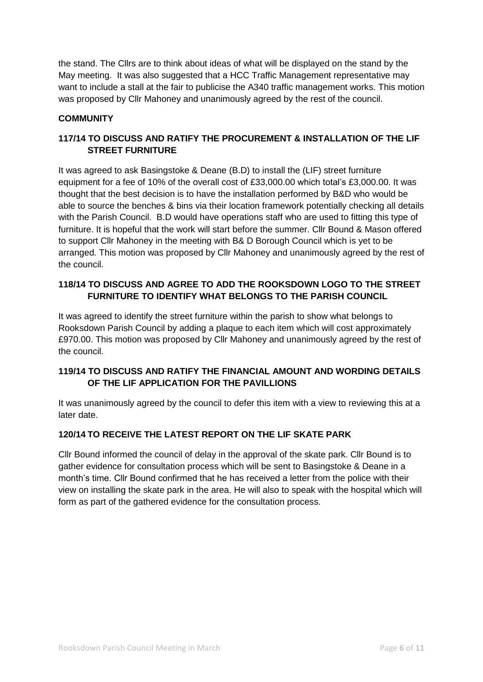the stand. The Cllrs are to think about ideas of what will be displayed on the stand by the May meeting. It was also suggested that a HCC Traffic Management representative may want to include a stall at the fair to publicise the A340 traffic management works. This motion was proposed by Cllr Mahoney and unanimously agreed by the rest of the council.

## **COMMUNITY**

## **117/14 TO DISCUSS AND RATIFY THE PROCUREMENT & INSTALLATION OF THE LIF STREET FURNITURE**

It was agreed to ask Basingstoke & Deane (B.D) to install the (LIF) street furniture equipment for a fee of 10% of the overall cost of £33,000.00 which total's £3,000.00. It was thought that the best decision is to have the installation performed by B&D who would be able to source the benches & bins via their location framework potentially checking all details with the Parish Council. B.D would have operations staff who are used to fitting this type of furniture. It is hopeful that the work will start before the summer. Cllr Bound & Mason offered to support Cllr Mahoney in the meeting with B& D Borough Council which is yet to be arranged. This motion was proposed by Cllr Mahoney and unanimously agreed by the rest of the council.

## **118/14 TO DISCUSS AND AGREE TO ADD THE ROOKSDOWN LOGO TO THE STREET FURNITURE TO IDENTIFY WHAT BELONGS TO THE PARISH COUNCIL**

It was agreed to identify the street furniture within the parish to show what belongs to Rooksdown Parish Council by adding a plaque to each item which will cost approximately £970.00. This motion was proposed by Cllr Mahoney and unanimously agreed by the rest of the council.

## **119/14 TO DISCUSS AND RATIFY THE FINANCIAL AMOUNT AND WORDING DETAILS OF THE LIF APPLICATION FOR THE PAVILLIONS**

It was unanimously agreed by the council to defer this item with a view to reviewing this at a later date.

## **120/14 TO RECEIVE THE LATEST REPORT ON THE LIF SKATE PARK**

Cllr Bound informed the council of delay in the approval of the skate park. Cllr Bound is to gather evidence for consultation process which will be sent to Basingstoke & Deane in a month's time. Cllr Bound confirmed that he has received a letter from the police with their view on installing the skate park in the area. He will also to speak with the hospital which will form as part of the gathered evidence for the consultation process.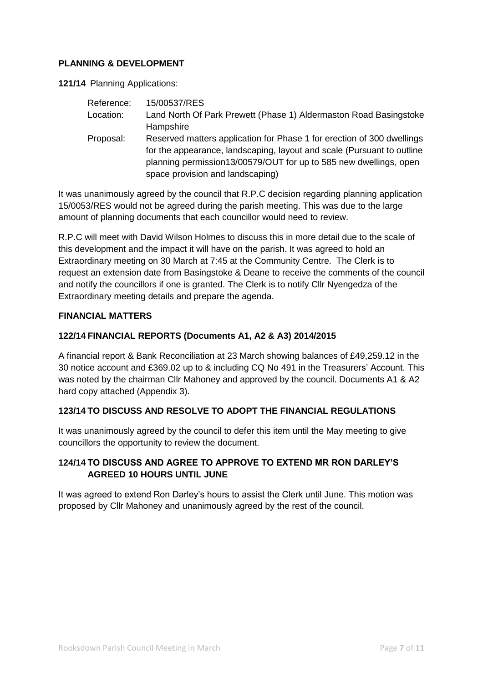## **PLANNING & DEVELOPMENT**

**121/14** Planning Applications:

| Reference: | 15/00537/RES                                                                                                                                                                    |  |  |  |
|------------|---------------------------------------------------------------------------------------------------------------------------------------------------------------------------------|--|--|--|
| Location:  | Land North Of Park Prewett (Phase 1) Aldermaston Road Basingstoke                                                                                                               |  |  |  |
|            | Hampshire                                                                                                                                                                       |  |  |  |
| Proposal:  | Reserved matters application for Phase 1 for erection of 300 dwellings                                                                                                          |  |  |  |
|            | for the appearance, landscaping, layout and scale (Pursuant to outline<br>planning permission13/00579/OUT for up to 585 new dwellings, open<br>space provision and landscaping) |  |  |  |
|            |                                                                                                                                                                                 |  |  |  |

It was unanimously agreed by the council that R.P.C decision regarding planning application 15/0053/RES would not be agreed during the parish meeting. This was due to the large amount of planning documents that each councillor would need to review.

R.P.C will meet with David Wilson Holmes to discuss this in more detail due to the scale of this development and the impact it will have on the parish. It was agreed to hold an Extraordinary meeting on 30 March at 7:45 at the Community Centre. The Clerk is to request an extension date from Basingstoke & Deane to receive the comments of the council and notify the councillors if one is granted. The Clerk is to notify Cllr Nyengedza of the Extraordinary meeting details and prepare the agenda.

### **FINANCIAL MATTERS**

### **122/14 FINANCIAL REPORTS (Documents A1, A2 & A3) 2014/2015**

A financial report & Bank Reconciliation at 23 March showing balances of £49,259.12 in the 30 notice account and £369.02 up to & including CQ No 491 in the Treasurers' Account. This was noted by the chairman Cllr Mahoney and approved by the council. Documents A1 & A2 hard copy attached (Appendix 3).

### **123/14 TO DISCUSS AND RESOLVE TO ADOPT THE FINANCIAL REGULATIONS**

It was unanimously agreed by the council to defer this item until the May meeting to give councillors the opportunity to review the document.

## **124/14 TO DISCUSS AND AGREE TO APPROVE TO EXTEND MR RON DARLEY'S AGREED 10 HOURS UNTIL JUNE**

It was agreed to extend Ron Darley's hours to assist the Clerk until June. This motion was proposed by Cllr Mahoney and unanimously agreed by the rest of the council.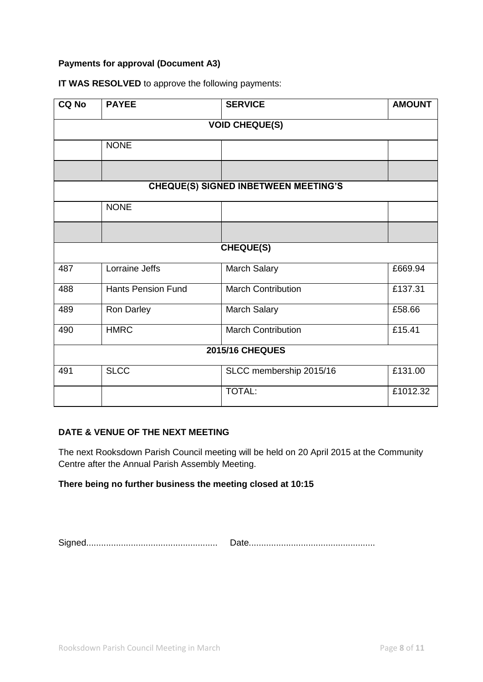## **Payments for approval (Document A3)**

| <b>CQ No</b>                                | <b>PAYEE</b>              | <b>SERVICE</b>            | <b>AMOUNT</b> |  |
|---------------------------------------------|---------------------------|---------------------------|---------------|--|
| <b>VOID CHEQUE(S)</b>                       |                           |                           |               |  |
|                                             | <b>NONE</b>               |                           |               |  |
|                                             |                           |                           |               |  |
| <b>CHEQUE(S) SIGNED INBETWEEN MEETING'S</b> |                           |                           |               |  |
|                                             | <b>NONE</b>               |                           |               |  |
|                                             |                           |                           |               |  |
| <b>CHEQUE(S)</b>                            |                           |                           |               |  |
| 487                                         | Lorraine Jeffs            | <b>March Salary</b>       | £669.94       |  |
| 488                                         | <b>Hants Pension Fund</b> | <b>March Contribution</b> | £137.31       |  |
| 489                                         | Ron Darley                | March Salary              | £58.66        |  |
| 490                                         | <b>HMRC</b>               | <b>March Contribution</b> | £15.41        |  |
| <b>2015/16 CHEQUES</b>                      |                           |                           |               |  |
| 491                                         | <b>SLCC</b>               | SLCC membership 2015/16   | £131.00       |  |
|                                             |                           | TOTAL:                    | £1012.32      |  |

## **IT WAS RESOLVED** to approve the following payments:

## **DATE & VENUE OF THE NEXT MEETING**

The next Rooksdown Parish Council meeting will be held on 20 April 2015 at the Community Centre after the Annual Parish Assembly Meeting.

## **There being no further business the meeting closed at 10:15**

Signed..................................................... Date...................................................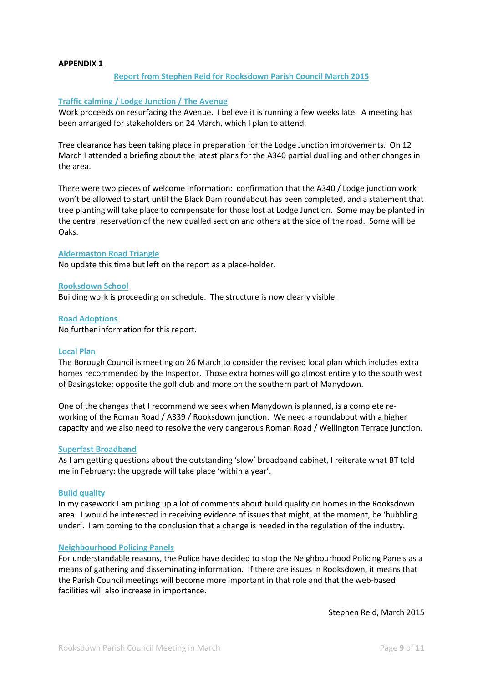#### **APPENDIX 1**

#### **Report from Stephen Reid for Rooksdown Parish Council March 2015**

#### **Traffic calming / Lodge Junction / The Avenue**

Work proceeds on resurfacing the Avenue. I believe it is running a few weeks late. A meeting has been arranged for stakeholders on 24 March, which I plan to attend.

Tree clearance has been taking place in preparation for the Lodge Junction improvements. On 12 March I attended a briefing about the latest plans for the A340 partial dualling and other changes in the area.

There were two pieces of welcome information: confirmation that the A340 / Lodge junction work won't be allowed to start until the Black Dam roundabout has been completed, and a statement that tree planting will take place to compensate for those lost at Lodge Junction. Some may be planted in the central reservation of the new dualled section and others at the side of the road. Some will be Oaks.

#### **Aldermaston Road Triangle**

No update this time but left on the report as a place-holder.

#### **Rooksdown School**

Building work is proceeding on schedule. The structure is now clearly visible.

**Road Adoptions**

No further information for this report.

#### **Local Plan**

The Borough Council is meeting on 26 March to consider the revised local plan which includes extra homes recommended by the Inspector. Those extra homes will go almost entirely to the south west of Basingstoke: opposite the golf club and more on the southern part of Manydown.

One of the changes that I recommend we seek when Manydown is planned, is a complete reworking of the Roman Road / A339 / Rooksdown junction. We need a roundabout with a higher capacity and we also need to resolve the very dangerous Roman Road / Wellington Terrace junction.

#### **Superfast Broadband**

As I am getting questions about the outstanding 'slow' broadband cabinet, I reiterate what BT told me in February: the upgrade will take place 'within a year'.

#### **Build quality**

In my casework I am picking up a lot of comments about build quality on homes in the Rooksdown area. I would be interested in receiving evidence of issues that might, at the moment, be 'bubbling under'. I am coming to the conclusion that a change is needed in the regulation of the industry.

#### **Neighbourhood Policing Panels**

For understandable reasons, the Police have decided to stop the Neighbourhood Policing Panels as a means of gathering and disseminating information. If there are issues in Rooksdown, it means that the Parish Council meetings will become more important in that role and that the web-based facilities will also increase in importance.

Stephen Reid, March 2015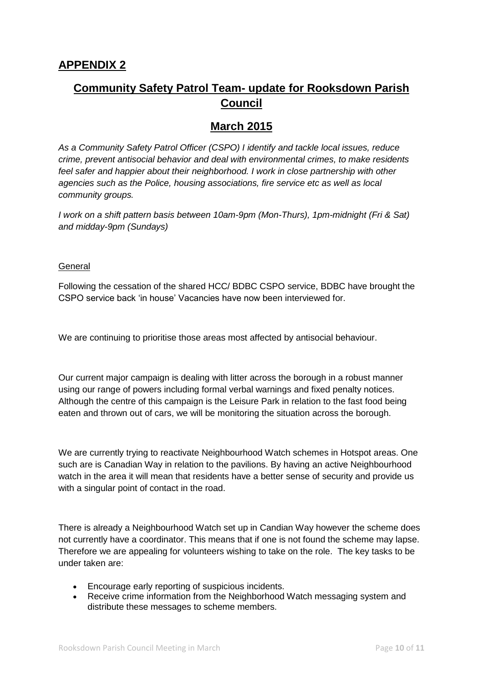# **Community Safety Patrol Team- update for Rooksdown Parish Council**

# **March 2015**

*As a Community Safety Patrol Officer (CSPO) I identify and tackle local issues, reduce crime, prevent antisocial behavior and deal with environmental crimes, to make residents feel safer and happier about their neighborhood. I work in close partnership with other agencies such as the Police, housing associations, fire service etc as well as local community groups.* 

*I work on a shift pattern basis between 10am-9pm (Mon-Thurs), 1pm-midnight (Fri & Sat) and midday-9pm (Sundays)*

#### **General**

Following the cessation of the shared HCC/ BDBC CSPO service, BDBC have brought the CSPO service back 'in house' Vacancies have now been interviewed for.

We are continuing to prioritise those areas most affected by antisocial behaviour.

Our current major campaign is dealing with litter across the borough in a robust manner using our range of powers including formal verbal warnings and fixed penalty notices. Although the centre of this campaign is the Leisure Park in relation to the fast food being eaten and thrown out of cars, we will be monitoring the situation across the borough.

We are currently trying to reactivate Neighbourhood Watch schemes in Hotspot areas. One such are is Canadian Way in relation to the pavilions. By having an active Neighbourhood watch in the area it will mean that residents have a better sense of security and provide us with a singular point of contact in the road.

There is already a Neighbourhood Watch set up in Candian Way however the scheme does not currently have a coordinator. This means that if one is not found the scheme may lapse. Therefore we are appealing for volunteers wishing to take on the role. The key tasks to be under taken are:

- Encourage early reporting of suspicious incidents.
- Receive crime information from the Neighborhood Watch messaging system and distribute these messages to scheme members.